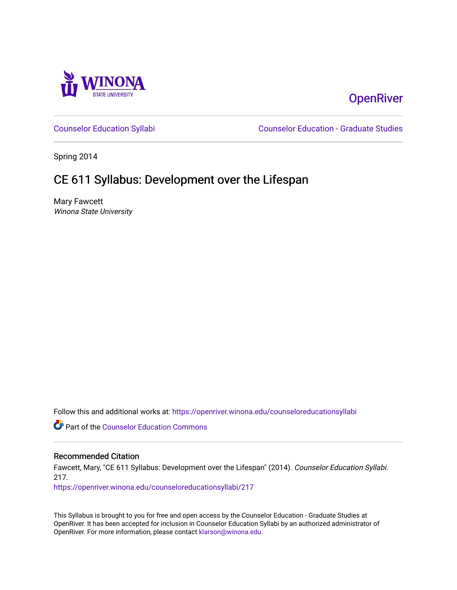

# **OpenRiver**

[Counselor Education Syllabi](https://openriver.winona.edu/counseloreducationsyllabi) [Counselor Education - Graduate Studies](https://openriver.winona.edu/counseloreducation) 

Spring 2014

# CE 611 Syllabus: Development over the Lifespan

Mary Fawcett Winona State University

Follow this and additional works at: [https://openriver.winona.edu/counseloreducationsyllabi](https://openriver.winona.edu/counseloreducationsyllabi?utm_source=openriver.winona.edu%2Fcounseloreducationsyllabi%2F217&utm_medium=PDF&utm_campaign=PDFCoverPages)

Part of the [Counselor Education Commons](http://network.bepress.com/hgg/discipline/1278?utm_source=openriver.winona.edu%2Fcounseloreducationsyllabi%2F217&utm_medium=PDF&utm_campaign=PDFCoverPages) 

# Recommended Citation

Fawcett, Mary, "CE 611 Syllabus: Development over the Lifespan" (2014). Counselor Education Syllabi. 217.

[https://openriver.winona.edu/counseloreducationsyllabi/217](https://openriver.winona.edu/counseloreducationsyllabi/217?utm_source=openriver.winona.edu%2Fcounseloreducationsyllabi%2F217&utm_medium=PDF&utm_campaign=PDFCoverPages)

This Syllabus is brought to you for free and open access by the Counselor Education - Graduate Studies at OpenRiver. It has been accepted for inclusion in Counselor Education Syllabi by an authorized administrator of OpenRiver. For more information, please contact [klarson@winona.edu](mailto:klarson@winona.edu).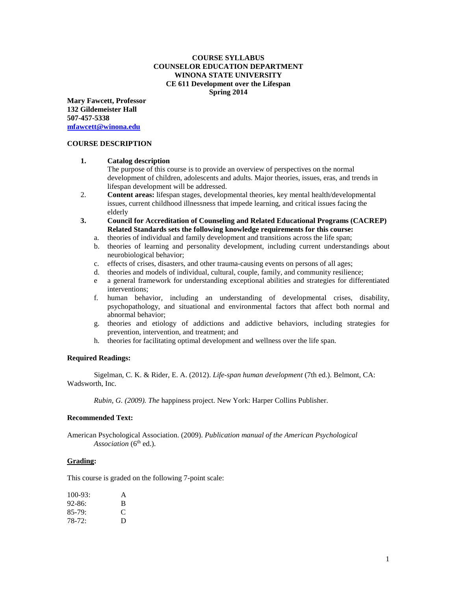## **COURSE SYLLABUS COUNSELOR EDUCATION DEPARTMENT WINONA STATE UNIVERSITY CE 611 Development over the Lifespan Spring 2014**

**Mary Fawcett, Professor 132 Gildemeister Hall 507-457-5338 [mfawcett@winona.edu](mailto:mfawcett@winona.edu)**

#### **COURSE DESCRIPTION**

#### **1. Catalog description**

The purpose of this course is to provide an overview of perspectives on the normal development of children, adolescents and adults. Major theories, issues, eras, and trends in lifespan development will be addressed.

- 2. **Content areas:** lifespan stages, developmental theories, key mental health/developmental issues, current childhood illnessness that impede learning, and critical issues facing the elderly
- **3. Council for Accreditation of Counseling and Related Educational Programs (CACREP) Related Standards sets the following knowledge requirements for this course:**
	- a. theories of individual and family development and transitions across the life span;
	- b. theories of learning and personality development, including current understandings about neurobiological behavior;
	- c. effects of crises, disasters, and other trauma-causing events on persons of all ages;
	- d. theories and models of individual, cultural, couple, family, and community resilience;
	- e a general framework for understanding exceptional abilities and strategies for differentiated interventions;
	- f. human behavior, including an understanding of developmental crises, disability, psychopathology, and situational and environmental factors that affect both normal and abnormal behavior;
	- g. theories and etiology of addictions and addictive behaviors, including strategies for prevention, intervention, and treatment; and
	- h. theories for facilitating optimal development and wellness over the life span.

## **Required Readings:**

Sigelman, C. K. & Rider, E. A. (2012). *Life-span human development* (7th ed.). Belmont, CA: Wadsworth, Inc.

*Rubin, G. (2009). The* happiness project. New York: Harper Collins Publisher.

#### **Recommended Text:**

American Psychological Association. (2009). *Publication manual of the American Psychological*  Association (6<sup>th</sup> ed.).

## **Grading:**

This course is graded on the following 7-point scale:

| $100-93$ : | A              |
|------------|----------------|
| $92 - 86:$ | B              |
| $85-79:$   | $\mathfrak{c}$ |
| $78-72:$   | D              |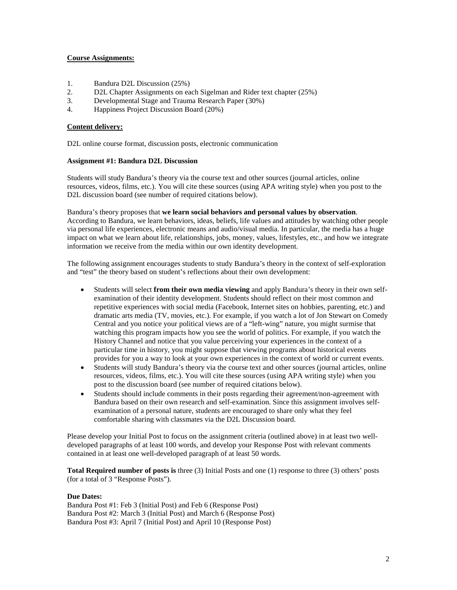## **Course Assignments:**

- 1. Bandura D2L Discussion (25%)
- 2. D2L Chapter Assignments on each Sigelman and Rider text chapter (25%)
- 3. Developmental Stage and Trauma Research Paper (30%)
- 4. Happiness Project Discussion Board (20%)

#### **Content delivery:**

D2L online course format, discussion posts, electronic communication

#### **Assignment #1: Bandura D2L Discussion**

Students will study Bandura's theory via the course text and other sources (journal articles, online resources, videos, films, etc.). You will cite these sources (using APA writing style) when you post to the D2L discussion board (see number of required citations below).

Bandura's theory proposes that **we learn social behaviors and personal values by observation**. According to Bandura, we learn behaviors, ideas, beliefs, life values and attitudes by watching other people via personal life experiences, electronic means and audio/visual media. In particular, the media has a huge impact on what we learn about life, relationships, jobs, money, values, lifestyles, etc., and how we integrate information we receive from the media within our own identity development.

The following assignment encourages students to study Bandura's theory in the context of self-exploration and "test" the theory based on student's reflections about their own development:

- Students will select **from their own media viewing** and apply Bandura's theory in their own selfexamination of their identity development. Students should reflect on their most common and repetitive experiences with social media (Facebook, Internet sites on hobbies, parenting, etc.) and dramatic arts media (TV, movies, etc.). For example, if you watch a lot of Jon Stewart on Comedy Central and you notice your political views are of a "left-wing" nature, you might surmise that watching this program impacts how you see the world of politics. For example, if you watch the History Channel and notice that you value perceiving your experiences in the context of a particular time in history, you might suppose that viewing programs about historical events provides for you a way to look at your own experiences in the context of world or current events.
- Students will study Bandura's theory via the course text and other sources (journal articles, online resources, videos, films, etc.). You will cite these sources (using APA writing style) when you post to the discussion board (see number of required citations below).
- Students should include comments in their posts regarding their agreement/non-agreement with Bandura based on their own research and self-examination. Since this assignment involves selfexamination of a personal nature, students are encouraged to share only what they feel comfortable sharing with classmates via the D2L Discussion board.

Please develop your Initial Post to focus on the assignment criteria (outlined above) in at least two welldeveloped paragraphs of at least 100 words, and develop your Response Post with relevant comments contained in at least one well-developed paragraph of at least 50 words.

**Total Required number of posts is** three (3) Initial Posts and one (1) response to three (3) others' posts (for a total of 3 "Response Posts").

## **Due Dates:**

Bandura Post #1: Feb 3 (Initial Post) and Feb 6 (Response Post) Bandura Post #2: March 3 (Initial Post) and March 6 (Response Post) Bandura Post #3: April 7 (Initial Post) and April 10 (Response Post)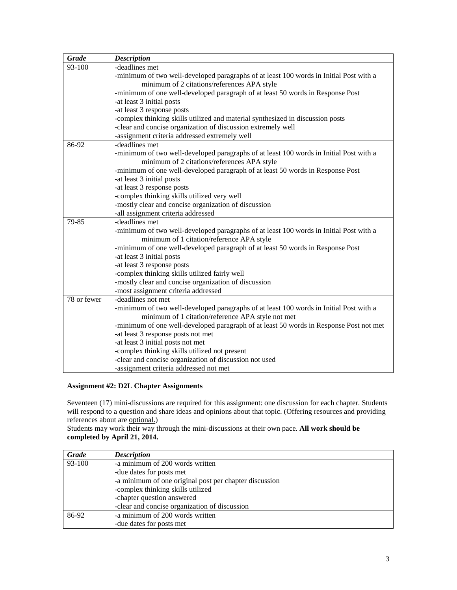| <b>Grade</b> | <b>Description</b>                                                                          |
|--------------|---------------------------------------------------------------------------------------------|
| 93-100       | -deadlines met                                                                              |
|              | -minimum of two well-developed paragraphs of at least 100 words in Initial Post with a      |
|              | minimum of 2 citations/references APA style                                                 |
|              | -minimum of one well-developed paragraph of at least 50 words in Response Post              |
|              | -at least 3 initial posts                                                                   |
|              | -at least 3 response posts                                                                  |
|              | -complex thinking skills utilized and material synthesized in discussion posts              |
|              | -clear and concise organization of discussion extremely well                                |
|              | -assignment criteria addressed extremely well                                               |
| 86-92        | -deadlines met                                                                              |
|              | -minimum of two well-developed paragraphs of at least 100 words in Initial Post with a      |
|              | minimum of 2 citations/references APA style                                                 |
|              | -minimum of one well-developed paragraph of at least 50 words in Response Post              |
|              | -at least 3 initial posts                                                                   |
|              | -at least 3 response posts                                                                  |
|              | -complex thinking skills utilized very well                                                 |
|              | -mostly clear and concise organization of discussion                                        |
|              | -all assignment criteria addressed                                                          |
| 79-85        | -deadlines met                                                                              |
|              | -minimum of two well-developed paragraphs of at least 100 words in Initial Post with a      |
|              | minimum of 1 citation/reference APA style                                                   |
|              | -minimum of one well-developed paragraph of at least 50 words in Response Post              |
|              | -at least 3 initial posts                                                                   |
|              | -at least 3 response posts                                                                  |
|              | -complex thinking skills utilized fairly well                                               |
|              | -mostly clear and concise organization of discussion<br>-most assignment criteria addressed |
| 78 or fewer  | -deadlines not met                                                                          |
|              | -minimum of two well-developed paragraphs of at least 100 words in Initial Post with a      |
|              | minimum of 1 citation/reference APA style not met                                           |
|              | -minimum of one well-developed paragraph of at least 50 words in Response Post not met      |
|              | -at least 3 response posts not met                                                          |
|              | -at least 3 initial posts not met                                                           |
|              | -complex thinking skills utilized not present                                               |
|              | -clear and concise organization of discussion not used                                      |
|              | -assignment criteria addressed not met                                                      |
|              |                                                                                             |

# **Assignment #2: D2L Chapter Assignments**

Seventeen (17) mini-discussions are required for this assignment: one discussion for each chapter. Students will respond to a question and share ideas and opinions about that topic. (Offering resources and providing will references about are optional.)

Students may work their way through the mini-discussions at their own pace. **All work should be completed by April 21, 2014.**

| Grade  | <b>Description</b>                                     |
|--------|--------------------------------------------------------|
| 93-100 | -a minimum of 200 words written                        |
|        | -due dates for posts met                               |
|        | -a minimum of one original post per chapter discussion |
|        | -complex thinking skills utilized                      |
|        | -chapter question answered                             |
|        | -clear and concise organization of discussion          |
| 86-92  | -a minimum of 200 words written                        |
|        | -due dates for posts met                               |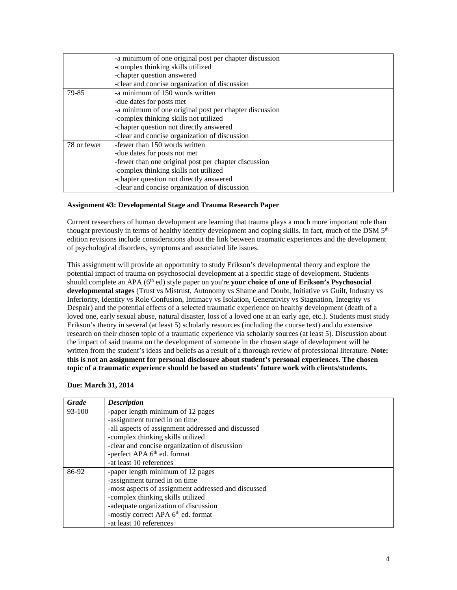|             | -a minimum of one original post per chapter discussion |
|-------------|--------------------------------------------------------|
|             | -complex thinking skills utilized                      |
|             | -chapter question answered                             |
|             | -clear and concise organization of discussion          |
| 79-85       | -a minimum of 150 words written                        |
|             | -due dates for posts met                               |
|             | -a minimum of one original post per chapter discussion |
|             | -complex thinking skills not utilized                  |
|             | -chapter question not directly answered                |
|             | -clear and concise organization of discussion          |
| 78 or fewer | -fewer than 150 words written                          |
|             | -due dates for posts not met                           |
|             | -fewer than one original post per chapter discussion   |
|             | -complex thinking skills not utilized                  |
|             | -chapter question not directly answered                |
|             | -clear and concise organization of discussion          |

## **Assignment #3: Developmental Stage and Trauma Research Paper**

Current researchers of human development are learning that trauma plays a much more important role than thought previously in terms of healthy identity development and coping skills. In fact, much of the DSM  $5<sup>th</sup>$ edition revisions include considerations about the link between traumatic experiences and the development of psychological disorders, symptoms and associated life issues.

This assignment will provide an opportunity to study Erikson's developmental theory and explore the potential impact of trauma on psychosocial development at a specific stage of development. Students should complete an APA (6th ed) style paper on you're **your choice of one of Erikson's Psychosocial developmental stages** (Trust vs Mistrust, Autonomy vs Shame and Doubt, Initiative vs Guilt, Industry vs Inferiority, Identity vs Role Confusion, Intimacy vs Isolation, Generativity vs Stagnation, Integrity vs Despair) and the potential effects of a selected traumatic experience on healthy development (death of a loved one, early sexual abuse, natural disaster, loss of a loved one at an early age, etc.). Students must study Erikson's theory in several (at least 5) scholarly resources (including the course text) and do extensive research on their chosen topic of a traumatic experience via scholarly sources (at least 5). Discussion about the impact of said trauma on the development of someone in the chosen stage of development will be written from the student's ideas and beliefs as a result of a thorough review of professional literature. **Note: this is not an assignment for personal disclosure about student's personal experiences. The chosen topic of a traumatic experience should be based on students' future work with clients/students.**

## **Due: March 31, 2014**

| Grade  | <b>Description</b>                                  |
|--------|-----------------------------------------------------|
| 93-100 | -paper length minimum of 12 pages                   |
|        | -assignment turned in on time                       |
|        | -all aspects of assignment addressed and discussed  |
|        | -complex thinking skills utilized                   |
|        | -clear and concise organization of discussion       |
|        | -perfect APA 6 <sup>th</sup> ed. format             |
|        | -at least 10 references                             |
| 86-92  | -paper length minimum of 12 pages                   |
|        | -assignment turned in on time                       |
|        | -most aspects of assignment addressed and discussed |
|        | -complex thinking skills utilized                   |
|        | -adequate organization of discussion                |
|        | -mostly correct APA 6 <sup>th</sup> ed. format      |
|        | -at least 10 references                             |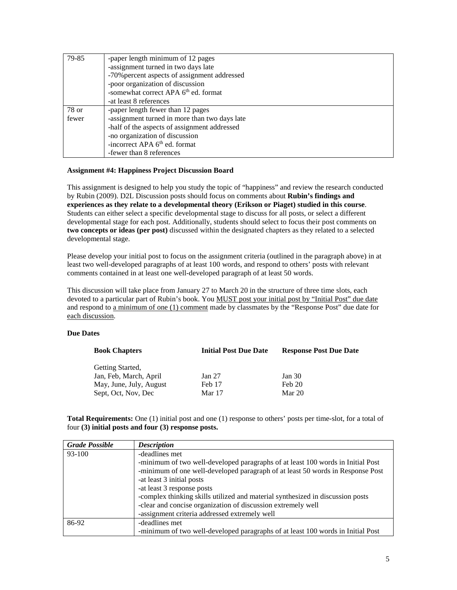| 79-85 | -paper length minimum of 12 pages                |
|-------|--------------------------------------------------|
|       | -assignment turned in two days late              |
|       | -70% percent aspects of assignment addressed     |
|       | -poor organization of discussion                 |
|       | -somewhat correct APA 6 <sup>th</sup> ed. format |
|       | -at least 8 references                           |
| 78 or | -paper length fewer than 12 pages                |
| fewer | -assignment turned in more than two days late    |
|       | -half of the aspects of assignment addressed     |
|       | -no organization of discussion                   |
|       | -incorrect APA 6 <sup>th</sup> ed. format        |
|       | -fewer than 8 references                         |

#### **Assignment #4: Happiness Project Discussion Board**

This assignment is designed to help you study the topic of "happiness" and review the research conducted by Rubin (2009). D2L Discussion posts should focus on comments about **Rubin's findings and experiences as they relate to a developmental theory (Erikson or Piaget) studied in this course**. Students can either select a specific developmental stage to discuss for all posts, or select a different developmental stage for each post. Additionally, students should select to focus their post comments on **two concepts or ideas (per post)** discussed within the designated chapters as they related to a selected developmental stage.

Please develop your initial post to focus on the assignment criteria (outlined in the paragraph above) in at least two well-developed paragraphs of at least 100 words, and respond to others' posts with relevant comments contained in at least one well-developed paragraph of at least 50 words.

This discussion will take place from January 27 to March 20 in the structure of three time slots, each devoted to a particular part of Rubin's book. You MUST post your initial post by "Initial Post" due date and respond to a minimum of one (1) comment made by classmates by the "Response Post" due date for each discussion.

## **Due Dates**

| <b>Book Chapters</b>    | <b>Initial Post Due Date</b> | <b>Response Post Due Date</b> |
|-------------------------|------------------------------|-------------------------------|
| Getting Started,        |                              |                               |
| Jan, Feb, March, April  | Jan 27                       | Jan 30                        |
| May, June, July, August | Feb 17                       | Feb 20                        |
| Sept, Oct, Nov, Dec     | Mar 17                       | Mar 20                        |

**Total Requirements:** One (1) initial post and one (1) response to others' posts per time-slot, for a total of four **(3) initial posts and four (3) response posts.**

| <b>Grade Possible</b> | <b>Description</b>                                                              |
|-----------------------|---------------------------------------------------------------------------------|
| 93-100                | -deadlines met                                                                  |
|                       | -minimum of two well-developed paragraphs of at least 100 words in Initial Post |
|                       | -minimum of one well-developed paragraph of at least 50 words in Response Post  |
|                       | -at least 3 initial posts                                                       |
|                       | -at least 3 response posts                                                      |
|                       | -complex thinking skills utilized and material synthesized in discussion posts  |
|                       | -clear and concise organization of discussion extremely well                    |
|                       | -assignment criteria addressed extremely well                                   |
| 86-92                 | -deadlines met                                                                  |
|                       | -minimum of two well-developed paragraphs of at least 100 words in Initial Post |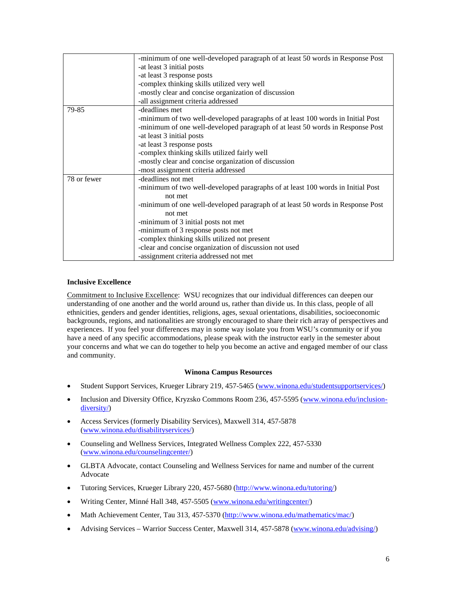|             | -minimum of one well-developed paragraph of at least 50 words in Response Post  |
|-------------|---------------------------------------------------------------------------------|
|             | -at least 3 initial posts                                                       |
|             | -at least 3 response posts                                                      |
|             | -complex thinking skills utilized very well                                     |
|             | -mostly clear and concise organization of discussion                            |
|             | -all assignment criteria addressed                                              |
| 79-85       | -deadlines met                                                                  |
|             | -minimum of two well-developed paragraphs of at least 100 words in Initial Post |
|             | -minimum of one well-developed paragraph of at least 50 words in Response Post  |
|             | -at least 3 initial posts                                                       |
|             | -at least 3 response posts                                                      |
|             | -complex thinking skills utilized fairly well                                   |
|             | -mostly clear and concise organization of discussion                            |
|             | -most assignment criteria addressed                                             |
| 78 or fewer | -deadlines not met                                                              |
|             | -minimum of two well-developed paragraphs of at least 100 words in Initial Post |
|             | not met                                                                         |
|             | -minimum of one well-developed paragraph of at least 50 words in Response Post  |
|             | not met                                                                         |
|             | -minimum of 3 initial posts not met                                             |
|             | -minimum of 3 response posts not met                                            |
|             | -complex thinking skills utilized not present                                   |
|             | -clear and concise organization of discussion not used                          |
|             | -assignment criteria addressed not met                                          |

## **Inclusive Excellence**

Commitment to Inclusive Excellence: WSU recognizes that our individual differences can deepen our understanding of one another and the world around us, rather than divide us. In this class, people of all ethnicities, genders and gender identities, religions, ages, sexual orientations, disabilities, socioeconomic backgrounds, regions, and nationalities are strongly encouraged to share their rich array of perspectives and experiences. If you feel your differences may in some way isolate you from WSU's community or if you have a need of any specific accommodations, please speak with the instructor early in the semester about your concerns and what we can do together to help you become an active and engaged member of our class and community.

## **Winona Campus Resources**

- Student Support Services, Krueger Library 219, 457-5465 [\(www.winona.edu/studentsupportservices/\)](http://www.winona.edu/studentsupportservices/)
- Inclusion and Diversity Office, Kryzsko Commons Room 236, 457-5595 [\(www.winona.edu/inclusion](http://www.winona.edu/inclusion-diversity/)[diversity/\)](http://www.winona.edu/inclusion-diversity/)
- Access Services (formerly Disability Services), Maxwell 314, 457-5878 [\(www.winona.edu/disabilityservices/\)](http://www.winona.edu/disabilityservices/)
- Counseling and Wellness Services, Integrated Wellness Complex 222, 457-5330 [\(www.winona.edu/counselingcenter/\)](http://www.winona.edu/counselingcenter/)
- GLBTA Advocate, contact Counseling and Wellness Services for name and number of the current Advocate
- Tutoring Services, Krueger Library 220, 457-5680 [\(http://www.winona.edu/tutoring/\)](http://www.winona.edu/tutoring/)
- Writing Center, Minné Hall 348, 457-5505 [\(www.winona.edu/writingcenter/\)](http://www.winona.edu/writingcenter/)
- Math Achievement Center, Tau 313, 457-5370 [\(http://www.winona.edu/mathematics/mac/\)](http://www.winona.edu/mathematics/mac/)
- Advising Services Warrior Success Center, Maxwell 314, 457-5878 [\(www.winona.edu/advising/\)](http://www.winona.edu/advising/)